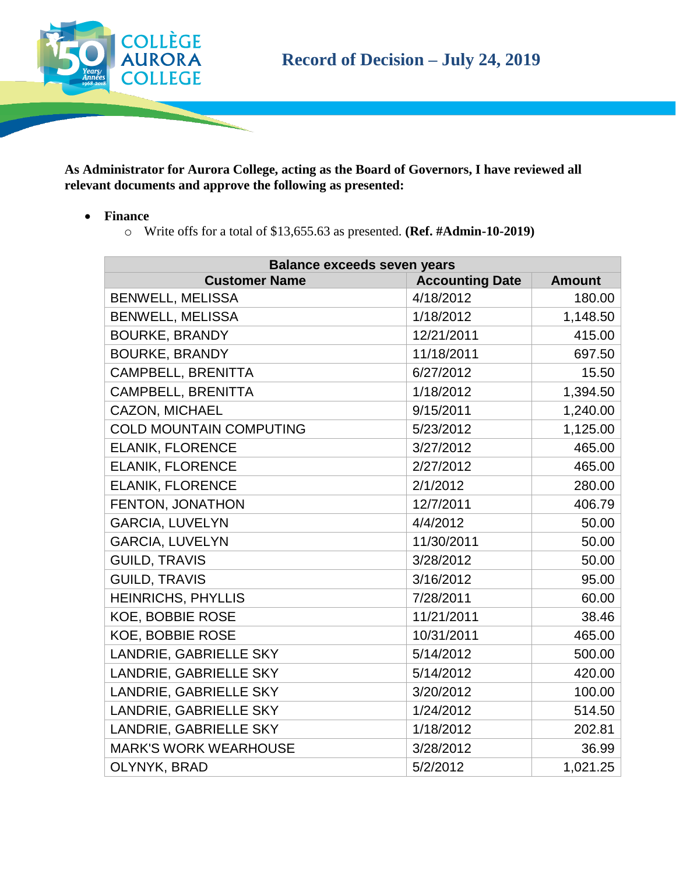

**As Administrator for Aurora College, acting as the Board of Governors, I have reviewed all relevant documents and approve the following as presented:**

- **Finance**
	- o Write offs for a total of \$13,655.63 as presented. **(Ref. #Admin-10-2019)**

| <b>Balance exceeds seven years</b> |                        |               |  |
|------------------------------------|------------------------|---------------|--|
| <b>Customer Name</b>               | <b>Accounting Date</b> | <b>Amount</b> |  |
| <b>BENWELL, MELISSA</b>            | 4/18/2012              | 180.00        |  |
| <b>BENWELL, MELISSA</b>            | 1/18/2012              | 1,148.50      |  |
| <b>BOURKE, BRANDY</b>              | 12/21/2011             | 415.00        |  |
| <b>BOURKE, BRANDY</b>              | 11/18/2011             | 697.50        |  |
| <b>CAMPBELL, BRENITTA</b>          | 6/27/2012              | 15.50         |  |
| <b>CAMPBELL, BRENITTA</b>          | 1/18/2012              | 1,394.50      |  |
| <b>CAZON, MICHAEL</b>              | 9/15/2011              | 1,240.00      |  |
| <b>COLD MOUNTAIN COMPUTING</b>     | 5/23/2012              | 1,125.00      |  |
| <b>ELANIK, FLORENCE</b>            | 3/27/2012              | 465.00        |  |
| <b>ELANIK, FLORENCE</b>            | 2/27/2012              | 465.00        |  |
| <b>ELANIK, FLORENCE</b>            | 2/1/2012               | 280.00        |  |
| FENTON, JONATHON                   | 12/7/2011              | 406.79        |  |
| <b>GARCIA, LUVELYN</b>             | 4/4/2012               | 50.00         |  |
| <b>GARCIA, LUVELYN</b>             | 11/30/2011             | 50.00         |  |
| <b>GUILD, TRAVIS</b>               | 3/28/2012              | 50.00         |  |
| <b>GUILD, TRAVIS</b>               | 3/16/2012              | 95.00         |  |
| <b>HEINRICHS, PHYLLIS</b>          | 7/28/2011              | 60.00         |  |
| <b>KOE, BOBBIE ROSE</b>            | 11/21/2011             | 38.46         |  |
| <b>KOE, BOBBIE ROSE</b>            | 10/31/2011             | 465.00        |  |
| LANDRIE, GABRIELLE SKY             | 5/14/2012              | 500.00        |  |
| LANDRIE, GABRIELLE SKY             | 5/14/2012              | 420.00        |  |
| LANDRIE, GABRIELLE SKY             | 3/20/2012              | 100.00        |  |
| LANDRIE, GABRIELLE SKY             | 1/24/2012              | 514.50        |  |
| LANDRIE, GABRIELLE SKY             | 1/18/2012              | 202.81        |  |
| <b>MARK'S WORK WEARHOUSE</b>       | 3/28/2012              | 36.99         |  |
| OLYNYK, BRAD                       | 5/2/2012               | 1,021.25      |  |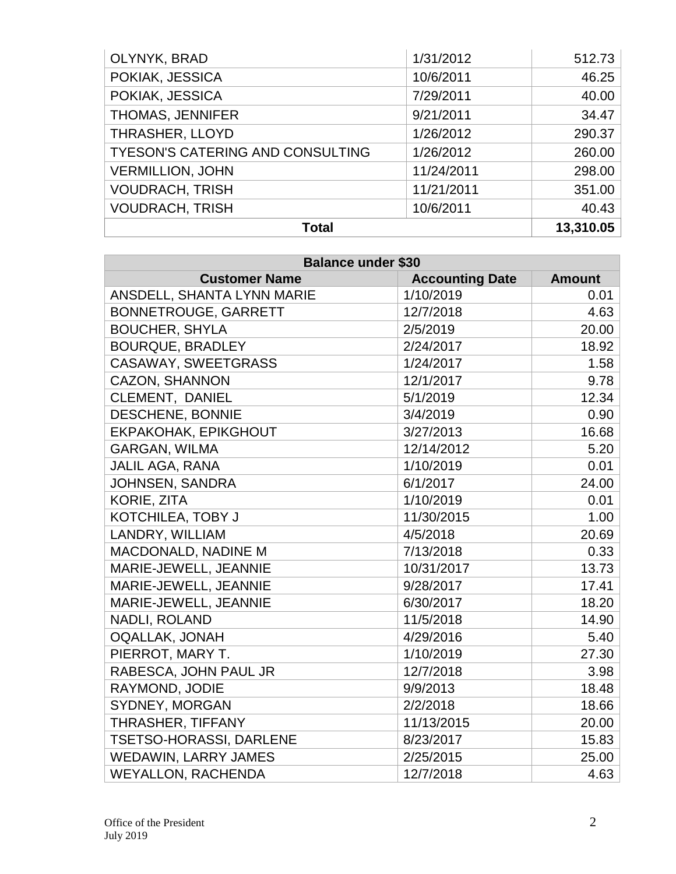| OLYNYK, BRAD                            | 1/31/2012  | 512.73    |
|-----------------------------------------|------------|-----------|
| POKIAK, JESSICA                         | 10/6/2011  | 46.25     |
| POKIAK, JESSICA                         | 7/29/2011  | 40.00     |
| THOMAS, JENNIFER                        | 9/21/2011  | 34.47     |
| THRASHER, LLOYD                         | 1/26/2012  | 290.37    |
| <b>TYESON'S CATERING AND CONSULTING</b> | 1/26/2012  | 260.00    |
| <b>VERMILLION, JOHN</b>                 | 11/24/2011 | 298.00    |
| <b>VOUDRACH, TRISH</b>                  | 11/21/2011 | 351.00    |
| <b>VOUDRACH, TRISH</b>                  | 10/6/2011  | 40.43     |
| <b>Total</b>                            |            | 13,310.05 |

| <b>Balance under \$30</b>   |                        |               |  |
|-----------------------------|------------------------|---------------|--|
| <b>Customer Name</b>        | <b>Accounting Date</b> | <b>Amount</b> |  |
| ANSDELL, SHANTA LYNN MARIE  | 1/10/2019              | 0.01          |  |
| <b>BONNETROUGE, GARRETT</b> | 12/7/2018              | 4.63          |  |
| <b>BOUCHER, SHYLA</b>       | 2/5/2019               | 20.00         |  |
| <b>BOURQUE, BRADLEY</b>     | 2/24/2017              | 18.92         |  |
| <b>CASAWAY, SWEETGRASS</b>  | 1/24/2017              | 1.58          |  |
| <b>CAZON, SHANNON</b>       | 12/1/2017              | 9.78          |  |
| CLEMENT, DANIEL             | 5/1/2019               | 12.34         |  |
| <b>DESCHENE, BONNIE</b>     | 3/4/2019               | 0.90          |  |
| EKPAKOHAK, EPIKGHOUT        | 3/27/2013              | 16.68         |  |
| <b>GARGAN, WILMA</b>        | 12/14/2012             | 5.20          |  |
| JALIL AGA, RANA             | 1/10/2019              | 0.01          |  |
| JOHNSEN, SANDRA             | 6/1/2017               | 24.00         |  |
| <b>KORIE, ZITA</b>          | 1/10/2019              | 0.01          |  |
| KOTCHILEA, TOBY J           | 11/30/2015             | 1.00          |  |
| LANDRY, WILLIAM             | 4/5/2018               | 20.69         |  |
| MACDONALD, NADINE M         | 7/13/2018              | 0.33          |  |
| MARIE-JEWELL, JEANNIE       | 10/31/2017             | 13.73         |  |
| MARIE-JEWELL, JEANNIE       | 9/28/2017              | 17.41         |  |
| MARIE-JEWELL, JEANNIE       | 6/30/2017              | 18.20         |  |
| NADLI, ROLAND               | 11/5/2018              | 14.90         |  |
| <b>OQALLAK, JONAH</b>       | 4/29/2016              | 5.40          |  |
| PIERROT, MARY T.            | 1/10/2019              | 27.30         |  |
| RABESCA, JOHN PAUL JR       | 12/7/2018              | 3.98          |  |
| RAYMOND, JODIE              | 9/9/2013               | 18.48         |  |
| SYDNEY, MORGAN              | 2/2/2018               | 18.66         |  |
| THRASHER, TIFFANY           | 11/13/2015             | 20.00         |  |
| TSETSO-HORASSI, DARLENE     | 8/23/2017              | 15.83         |  |
| <b>WEDAWIN, LARRY JAMES</b> | 2/25/2015              | 25.00         |  |
| <b>WEYALLON, RACHENDA</b>   | 12/7/2018              | 4.63          |  |